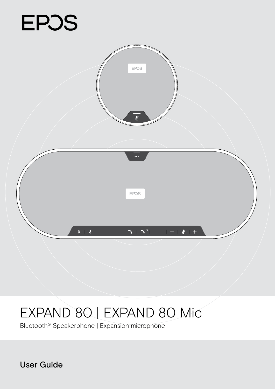# **EPOS**



# EXPAND 80 | EXPAND 80 Mic

Bluetooth® Speakerphone | Expansion microphone

User Guide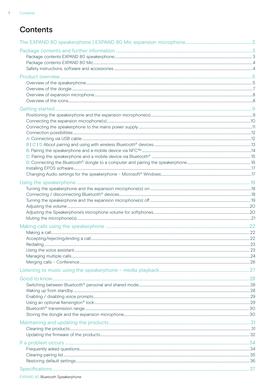$\overline{1}$ 

# Contents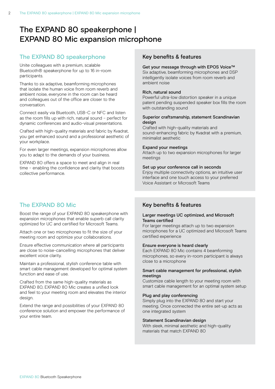# <span id="page-2-0"></span>The EXPAND 80 speakerphone | EXPAND 80 Mic expansion microphone

#### The EXPAND 80 speakerphone

Unite colleagues with a premium, scalable Bluetooth® speakerphone for up to 16 in-room participants.

Thanks to six adaptive, beamforming microphones that isolate the human voice from room reverb and ambient noise, everyone in the room can be heard and colleagues out of the office are closer to the conversation.

Connect easily via Bluetooth, USB-C or NFC and listen as the room fills up with rich, natural sound – perfect for dynamic conferences and audio-visual presentations.

Crafted with high-quality materials and fabric by Kvadrat, you get enhanced sound and a professional aesthetic of your workplace.

For even larger meetings, expansion microphones allow you to adapt to the demands of your business.

EXPAND 80 offers a space to meet and align in real time – enabling the confidence and clarity that boosts collective performance.

# The EXPAND 80 Mic

Boost the range of your EXPAND 80 speakerphone with expansion microphones that enable superb call clarity optimized for UC and certified for Microsoft Teams.

Attach one or two microphones to fit the size of your meeting room and optimize your collaborations.

Ensure effective communication where all participants are close to noise-cancelling microphones that deliver excellent voice clarity.

Maintain a professional, stylish conference table with smart cable management developed for optimal system function and ease of use.

Crafted from the same high-quality materials as EXPAND 80, EXPAND 80 Mic creates a unified look and feel to your meeting room and elevates the interior design.

Extend the range and possibilities of your EXPAND 80 conference solution and empower the performance of your entire team.

#### Key benefits & features

#### Get your message through with EPOS Voice™

Six adaptive, beamforming microphones and DSP intelligently isolate voices from room reverb and ambient noise

#### Rich, natural sound

Powerful ultra-low distortion speaker in a unique patent pending suspended speaker box fills the room with outstanding sound

#### Superior craftsmanship, statement Scandinavian design

Crafted with high-quality materials and sound-enhancing fabric by Kvadrat with a premium, minimalist aesthetic

#### Expand your meetings

Attach up to two expansion microphones for larger meetings

#### Set up your conference call in seconds

Enjoy multiple connectivity options, an intuitive user interface and one touch access to your preferred Voice Assistant or Microsoft Teams

#### Key benefits & features

#### Larger meetings UC optimized, and Microsoft Teams certified

For larger meetings attach up to two expansion microphones for a UC optimized and Microsoft Teams certified experience

#### Ensure everyone is heard clearly

Each EXPAND 80 Mic contains 4 beamforming microphones, so every in-room participant is always close to a microphone

#### Smart cable management for professional, stylish meetings

Customize cable length to your meeting room with smart cable management for an optimal system setup

#### Plug and play conferencing

Simply plug into the EXPAND 80 and start your meeting. Once connected the entire set-up acts as one integrated system

#### Statement Scandinavian design

With sleek, minimal aesthetic and high-quality materials that match EXPAND 80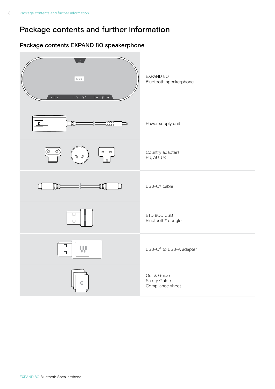# <span id="page-3-0"></span>Package contents and further information

# Package contents EXPAND 80 speakerphone

| $\cdots$<br>EPOS<br>$\mathbb{N} \rightarrow \mathbb{R}$<br>$\mathbf{S}+\mathbf{X}^{\circ}$<br>$- + \Psi + +$ | EXPAND 80<br>Bluetooth speakerphone             |
|--------------------------------------------------------------------------------------------------------------|-------------------------------------------------|
| <b>FILE</b><br>nung<br>Luul<br>ℶ<br>О                                                                        | Power supply unit                               |
| $\overset{\odot}{=}$<br>O<br>口 口                                                                             | Country adapters<br>EU, AU, UK                  |
| <b>IME</b><br>₩∭                                                                                             | USB-C <sup>®</sup> cable                        |
| $\Box$<br>$\mathbf{L}$                                                                                       | BTD 800 USB<br>Bluetooth <sup>®</sup> dongle    |
| $\Box$<br>W<br>$\Box$                                                                                        | USB-C <sup>®</sup> to USB-A adapter             |
| €                                                                                                            | Quick Guide<br>Safety Guide<br>Compliance sheet |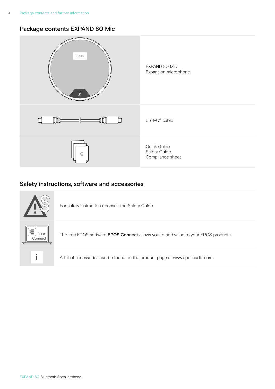## <span id="page-4-0"></span>Package contents EXPAND 80 Mic



# Safety instructions, software and accessories



The free EPOS software EPOS Connect allows you to add value to your EPOS products.

i A list of accessories can be found on the product page at www.eposaudio.com.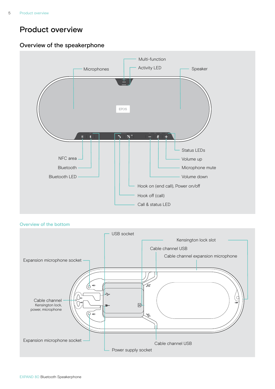# <span id="page-5-0"></span>Product overview

# Overview of the speakerphone



```
Overview of the bottom
```
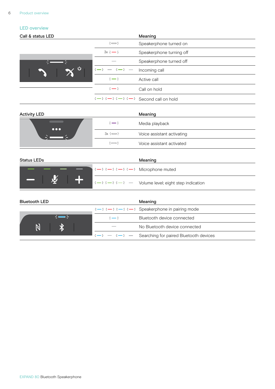#### LED overview

| Call & status LED |                                                                                                                                                                                                                                                                                                                                                                                                     | Meaning                  |
|-------------------|-----------------------------------------------------------------------------------------------------------------------------------------------------------------------------------------------------------------------------------------------------------------------------------------------------------------------------------------------------------------------------------------------------|--------------------------|
|                   | $\div$                                                                                                                                                                                                                                                                                                                                                                                              | Speakerphone turned on   |
|                   | $3x \div 3 = 5$                                                                                                                                                                                                                                                                                                                                                                                     | Speakerphone turning off |
|                   | <b>Contract Contract Contract</b>                                                                                                                                                                                                                                                                                                                                                                   | Speakerphone turned off  |
| - ပ               | $\frac{1}{2} + \frac{1}{2} + \frac{1}{2} + \frac{1}{2} + \frac{1}{2} + \frac{1}{2} + \frac{1}{2} + \frac{1}{2} + \frac{1}{2} + \frac{1}{2} + \frac{1}{2} + \frac{1}{2} + \frac{1}{2} + \frac{1}{2} + \frac{1}{2} + \frac{1}{2} + \frac{1}{2} + \frac{1}{2} + \frac{1}{2} + \frac{1}{2} + \frac{1}{2} + \frac{1}{2} + \frac{1}{2} + \frac{1}{2} + \frac{1}{2} + \frac{1}{2} + \frac{1}{2} + \frac{1$ | Incoming call            |
|                   | $\div$ $\div$                                                                                                                                                                                                                                                                                                                                                                                       | Active call              |
|                   | $\div$ $\rightarrow$                                                                                                                                                                                                                                                                                                                                                                                | Call on hold             |
|                   | $\frac{1}{2}$ = $\frac{1}{2}$ = $\frac{1}{2}$ = $\frac{1}{2}$ = $\frac{1}{2}$ Second call on hold                                                                                                                                                                                                                                                                                                   |                          |

| <b>Activity LED</b>          |                      | Meaning                    |
|------------------------------|----------------------|----------------------------|
|                              | $\div$ $\rightarrow$ | Media playback             |
| $\bullet\bullet\bullet$<br>— | $3x \div 3 = 5$      | Voice assistant activating |
|                              | ⇒⇔                   | Voice assistant activated  |

| <b>Status LEDs</b>       |  |                                                                                                                    | Meaning                                                                                                        |
|--------------------------|--|--------------------------------------------------------------------------------------------------------------------|----------------------------------------------------------------------------------------------------------------|
|                          |  | $\Rightarrow$ $\Rightarrow$ $\Rightarrow$ $\Rightarrow$ $\Rightarrow$ $\Rightarrow$ $\Rightarrow$ Microphone muted |                                                                                                                |
| $\overline{\phantom{a}}$ |  |                                                                                                                    | $\mathbf{I}$ : $\mathbf{I}$ = : $\mathbf{I}$ = $\mathbf{I}$ = $\mathbf{I}$ Volume level; eight step indication |

| <b>Bluetooth LED</b> |                             | Meaning                                                                                                                                      |
|----------------------|-----------------------------|----------------------------------------------------------------------------------------------------------------------------------------------|
|                      |                             | $\frac{1}{2}$ $\frac{1}{2}$ $\frac{1}{2}$ $\frac{1}{2}$ $\frac{1}{2}$ $\frac{1}{2}$ $\frac{1}{2}$ $\frac{1}{2}$ Speakerphone in pairing mode |
|                      | $\div$ $\rightarrow$ $\div$ | Bluetooth device connected                                                                                                                   |
|                      |                             | No Bluetooth device connected                                                                                                                |
|                      |                             | $\frac{1}{2}$ $\frac{1}{2}$ $\frac{1}{2}$ $\frac{1}{2}$ Searching for paired Bluetooth devices                                               |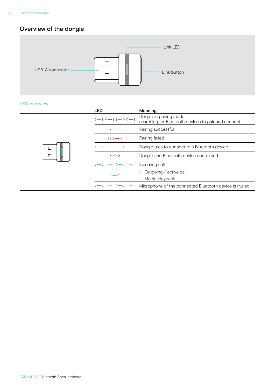# <span id="page-7-0"></span>Overview of the dongle



#### LED overview

|  | <b>LED</b>               | Meaning                                                                        |
|--|--------------------------|--------------------------------------------------------------------------------|
|  | $3 - 3 - 3 - 3 - 3 - 5$  | Dongle in pairing mode:<br>searching for Bluetooth devices to pair and connect |
|  | $3x \div 3$              | Pairing successful                                                             |
|  | $3x \div 3$              | Pairing failed                                                                 |
|  | $\rightarrow - + -$      | Dongle tries to connect to a Bluetooth device                                  |
|  | $\div$ $\div$            | Dongle and Bluetooth device connected                                          |
|  | <b>Contract Contract</b> | Incoming call                                                                  |
|  | $\div$ $\rightarrow$     | Outgoing / active call<br>Media playback                                       |
|  |                          |                                                                                |
|  | <b>Contract Contract</b> | Microphone of the connected Bluetooth device is muted                          |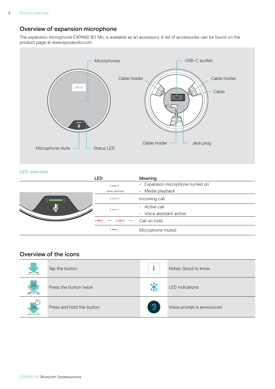# <span id="page-8-0"></span>Overview of expansion microphone

The expansion microphone EXPAND 80 Mic is available as an accessory. A list of accessories can be found on the product page at www.eposaudio.com.



#### LED overview

|  | LED                                                                                                                                                                                                                                                                                                                                                                                                 | Meaning                                     |
|--|-----------------------------------------------------------------------------------------------------------------------------------------------------------------------------------------------------------------------------------------------------------------------------------------------------------------------------------------------------------------------------------------------------|---------------------------------------------|
|  | $\div$                                                                                                                                                                                                                                                                                                                                                                                              | Expansion microphone turned on<br>$\bullet$ |
|  | white dimmed                                                                                                                                                                                                                                                                                                                                                                                        | Media playback<br>$\bullet$                 |
|  | $\div$                                                                                                                                                                                                                                                                                                                                                                                              | Incoming call                               |
|  | $\div$ $\rightarrow$                                                                                                                                                                                                                                                                                                                                                                                | Active call                                 |
|  |                                                                                                                                                                                                                                                                                                                                                                                                     | Voice assistant active<br>$\bullet$         |
|  | $\frac{1}{2} + \frac{1}{2} + \frac{1}{2} + \frac{1}{2} + \frac{1}{2} + \frac{1}{2} + \frac{1}{2} + \frac{1}{2} + \frac{1}{2} + \frac{1}{2} + \frac{1}{2} + \frac{1}{2} + \frac{1}{2} + \frac{1}{2} + \frac{1}{2} + \frac{1}{2} + \frac{1}{2} + \frac{1}{2} + \frac{1}{2} + \frac{1}{2} + \frac{1}{2} + \frac{1}{2} + \frac{1}{2} + \frac{1}{2} + \frac{1}{2} + \frac{1}{2} + \frac{1}{2} + \frac{1$ |                                             |
|  | $\div$ $\rightarrow$                                                                                                                                                                                                                                                                                                                                                                                | Microphone muted                            |

## Overview of the icons

|    | Tap the button            |               | Notes: Good to know       |
|----|---------------------------|---------------|---------------------------|
| ŻΧ | Press the button twice    | *             | <b>LED</b> indications    |
| 3s | Press and hold the button | $\mathcal{D}$ | Voice prompt is announced |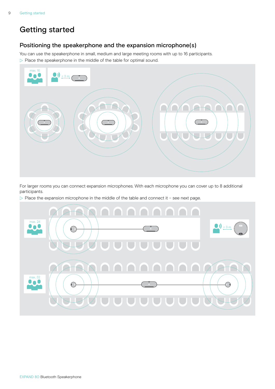# <span id="page-9-0"></span>Getting started

## Positioning the speakerphone and the expansion microphone(s)

You can use the speakerphone in small, medium and large meeting rooms with up to 16 participants.  $\triangleright$  Place the speakerphone in the middle of the table for optimal sound.



For larger rooms you can connect expansion microphones. With each microphone you can cover up to 8 additional participants.

 $\triangleright$  Place the expansion microphone in the middle of the table and connect it - see next page.

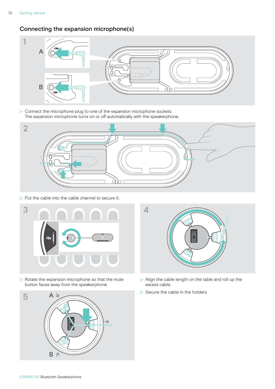# <span id="page-10-0"></span>Connecting the expansion microphone(s)



 $\triangleright$  Connect the microphone plug to one of the expansion microphone sockets. The expansion microphone turns on or off automatically with the speakerphone.



 $\triangleright$  Put the cable into the cable channel to secure it.



 $\triangleright$  Rotate the expansion microphone so that the mute button faces away from the speakerphone.





- $\triangleright$  Align the cable length on the table and roll up the excess cable.
- $\triangleright$  Secure the cable in the holders.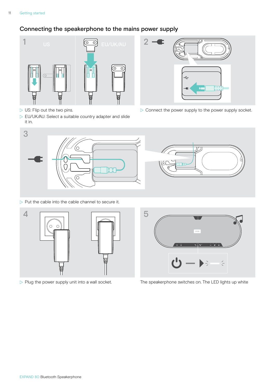# <span id="page-11-1"></span><span id="page-11-0"></span>Connecting the speakerphone to the mains power supply



- $\triangleright$  US: Flip out the two pins.
- $\triangleright$  EU/UK/AU: Select a suitable country adapter and slide it in.



 $\triangleright$  Connect the power supply to the power supply socket.



 $\triangleright$  Put the cable into the cable channel to secure it.







 $\triangleright$  Plug the power supply unit into a wall socket. The speakerphone switches on. The LED lights up white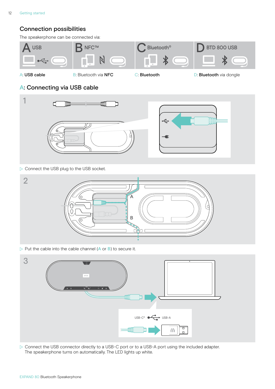# <span id="page-12-0"></span>Connection possibilities

The speakerphone can be connected via:



<span id="page-12-1"></span>

A: USB cable **B:** B: Bluetooth via NFC **C: Bluetooth C: Bluetooth D: Bluetooth** via dongle

# A: Connecting via USB cable



 $\triangleright$  Connect the USB plug to the USB socket.



 $\triangleright$  Put the cable into the cable channel (A or B) to secure it.



▶ Connect the USB connector directly to a USB-C port or to a USB-A port using the included adapter. The speakerphone turns on automatically. The LED lights up white.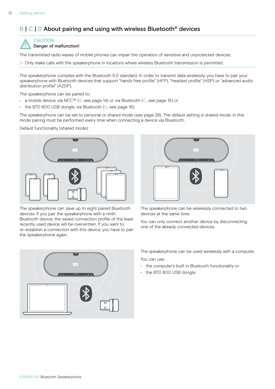# <span id="page-13-1"></span><span id="page-13-0"></span>B | C | D About pairing and using with wireless Bluetooth<sup>®</sup> devices



The transmitted radio waves of mobile phones can impair the operation of sensitive and unprotected devices.

 $\triangleright$  Only make calls with the speakerphone in locations where wireless Bluetooth transmission is permitted.

The speakerphone complies with the Bluetooth 5.0 standard. In order to transmit data wirelessly, you have to pair your speakerphone with Bluetooth devices that support "hands free profile" (HFP), "headset profile" (HSP) or "advanced audio distribution profile" (A2DP).

The speakerphone can be paired to:

- a mobile device: via NFC™ (B, see page [14\)](#page-14-1) or via Bluetooth (C, see page [15\)](#page-15-1) or
- the BTD 800 USB dongle: via Bluetooth (D, see page [16\)](#page-16-1).

The speakerphone can be set to personal or shared mode (see page [28](#page-28-1)). The default setting is shared mode. In this mode pairing must be performed every time when connecting a device via Bluetooth.

Default functionality (shared mode):



The speakerphone can save up to eight paired Bluetooth devices. If you pair the speakerphone with a ninth Bluetooth device, the saved connection profile of the least recently used device will be overwritten. If you want to re-establish a connection with this device, you have to pair the speakerphone again.



The speakerphone can be wirelessly connected to two devices at the same time.

You can only connect another device by disconnecting one of the already connected devices.



The speakerphone can be used wirelessly with a computer. You can use:

- the computer's built in Bluetooth functionality or
- the BTD 800 USB dongle.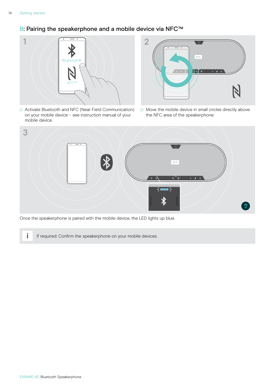# <span id="page-14-1"></span><span id="page-14-0"></span>B: Pairing the speakerphone and a mobile device via NFC™



 $\triangleright$  Activate Bluetooth and NFC (Near Field Communication) on your mobile device – see instruction manual of your mobile device.



 $\triangleright$  Move the mobile device in small circles directly above the NFC area of the speakerphone.



Once the speakerphone is paired with the mobile device, the LED lights up blue.

**i** If required: Confirm the speakerphone on your mobile devices.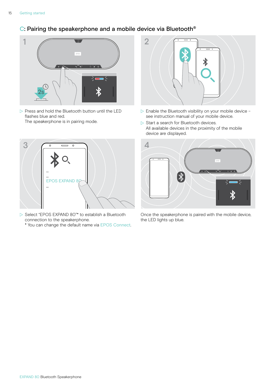# <span id="page-15-1"></span><span id="page-15-0"></span>C: Pairing the speakerphone and a mobile device via Bluetooth®



 $\triangleright$  Press and hold the Bluetooth button until the LED flashes blue and red. The speakerphone is in pairing mode.



- $\triangleright$  Select "EPOS EXPAND 80"\* to establish a Bluetooth connection to the speakerphone.
	- \* You can change the default name via EPOS Connect.



- $\triangleright$  Enable the Bluetooth visibility on your mobile device see instruction manual of your mobile device.
- $\triangleright$  Start a search for Bluetooth devices. All available devices in the proximity of the mobile device are displayed.



Once the speakerphone is paired with the mobile device, the LED lights up blue.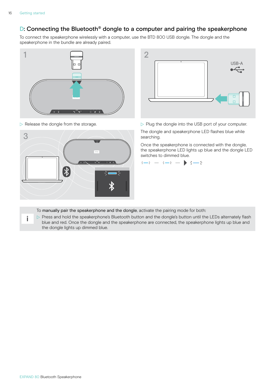i

# <span id="page-16-1"></span><span id="page-16-0"></span>D: Connecting the Bluetooth® dongle to a computer and pairing the speakerphone

To connect the speakerphone wirelessly with a computer, use the BTD 800 USB dongle. The dongle and the speakerphone in the bundle are already paired.







 $\triangleright$  Release the dongle from the storage.  $\triangleright$  Plug the dongle into the USB port of your computer.

searching.

Once the speakerphone is connected with the dongle, the speakerphone LED lights up blue and the dongle LED switches to dimmed blue.



- To manually pair the speakerphone and the dongle, activate the pairing mode for both:
- $\triangleright$  Press and hold the speakerphone's Bluetooth button and the dongle's button until the LEDs alternately flash blue and red. Once the dongle and the speakerphone are connected, the speakerphone lights up blue and the dongle lights up dimmed blue.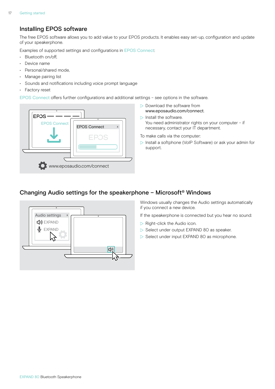# <span id="page-17-1"></span><span id="page-17-0"></span>Installing EPOS software

The free EPOS software allows you to add value to your EPOS products. It enables easy set-up, configuration and update of your speakerphone.

Examples of supported settings and configurations in EPOS Connect:

- Bluetooth on/off,
- Device name
- Personal/shared mode,
- Manage pairing list
- Sounds and notifications including voice prompt language
- Factory reset

EPOS Connect offers further configurations and additional settings – see options in the software.



- $\triangleright$  Download the software from www.eposaudio.com/connect.
- $\triangleright$  Install the software. You need administrator rights on your computer – if necessary, contact your IT department.
- To make calls via the computer:
- $\triangleright$  Install a softphone (VoIP Software) or ask your admin for support.

# Changing Audio settings for the speakerphone – Microsoft® Windows



Windows usually changes the Audio settings automatically if you connect a new device.

If the speakerphone is connected but you hear no sound:

- $\triangleright$  Right-click the Audio icon.
- $\triangleright$  Select under output EXPAND 80 as speaker.
- $\triangleright$  Select under input EXPAND 80 as microphone.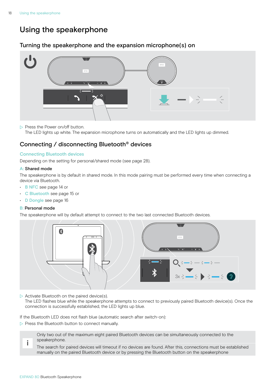# <span id="page-18-0"></span>Using the speakerphone

## <span id="page-18-1"></span>Turning the speakerphone and the expansion microphone(s) on



 $\triangleright$  Press the Power on/off button.

The LED lights up white. The expansion microphone turns on automatically and the LED lights up dimmed.

# Connecting / disconnecting Bluetooth® devices

#### Connecting Bluetooth devices

Depending on the setting for personal/shared mode (see page [28\)](#page-28-1).

#### A: Shared mode

The speakerphone is by default in shared mode. In this mode pairing must be performed every time when connecting a device via Bluetooth.

- B NFC see page [14](#page-14-1) or
- C Bluetooth see page [15](#page-15-1) or
- D Dongle see page [16](#page-16-1)

#### B: Personal mode

The speakerphone will by default attempt to connect to the two last connected Bluetooth devices.



 $\triangleright$  Activate Bluetooth on the paired device(s).

The LED flashes blue while the speakerphone attempts to connect to previously paired Bluetooth device(s). Once the connection is successfully established, the LED lights up blue.

If the Bluetooth LED does not flash blue (automatic search after switch-on):

 $\triangleright$  Press the Bluetooth button to connect manually.

Only two out of the maximum eight paired Bluetooth devices can be simultaneously connected to the speakerphone.

The search for paired devices will timeout if no devices are found. After this, connections must be established manually on the paired Bluetooth device or by pressing the Bluetooth button on the speakerphone

i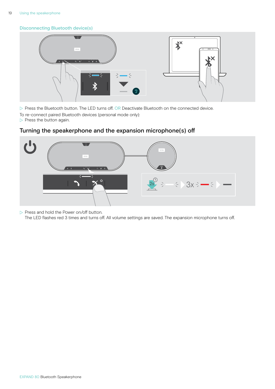#### <span id="page-19-0"></span>Disconnecting Bluetooth device(s)



 $\triangleright$  Press the Bluetooth button. The LED turns off. OR Deactivate Bluetooth on the connected device. To re-connect paired Bluetooth devices (personal mode only):

 $\triangleright$  Press the button again.

# $\mathfrak{C}^{\rm b}$ EPOS  $\ddot{\circ}$  $\div$  3x  $\div$   $\div$

# Turning the speakerphone and the expansion microphone(s) off

 $\triangleright$  Press and hold the Power on/off button.

The LED flashes red 3 times and turns off. All volume settings are saved. The expansion microphone turns off.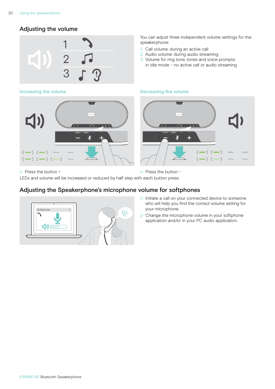# <span id="page-20-1"></span><span id="page-20-0"></span>Adjusting the volume



You can adjust three independent volume settings for the speakerphone:

- 1. Call volume: during an active call
- 2. Audio volume: during audio streaming
- 3. Volume for ring tone, tones and voice prompts: in idle mode – no active call or audio streaming

#### Increasing the volume **Decreasing the volume** Decreasing the volume



 $\triangleright$  Press the button +  $\triangleright$  Press the button – LEDs and volume will be increased or reduced by half step with each button press.

## Adjusting the Speakerphone's microphone volume for softphones



- $\triangleright$  Initiate a call on your connected device to someone who will help you find the correct volume setting for your microphone.
- $\triangleright$  Change the microphone volume in your softphone application and/or in your PC audio application.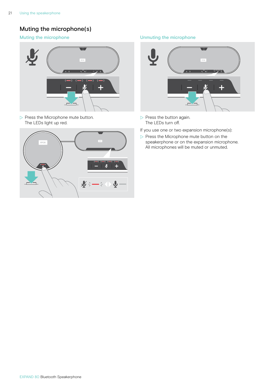# <span id="page-21-0"></span>Muting the microphone(s)



 $\triangleright$  Press the Microphone mute button. The LEDs light up red.



#### Muting the microphone **Muting the microphone** Unmuting the microphone



- $\triangleright$  Press the button again. The LEDs turn off.
- If you use one or two expansion microphone(s):
- $\triangleright$  Press the Microphone mute button on the speakerphone or on the expansion microphone. All microphones will be muted or unmuted.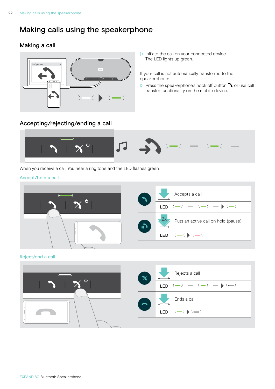# <span id="page-22-1"></span><span id="page-22-0"></span>Making calls using the speakerphone

# Making a call



 $\triangleright$  Initiate the call on your connected device. The LED lights up green.

If your call is not automatically transferred to the speakerphone:

 $\triangleright$  Press the speakerphone's hook off button  $\lambda$ , or use call transfer functionality on the mobile device.

# Accepting/rejecting/ending a call



When you receive a call: You hear a ring tone and the LED flashes green.

#### Accept/hold a call



Reject/end a call

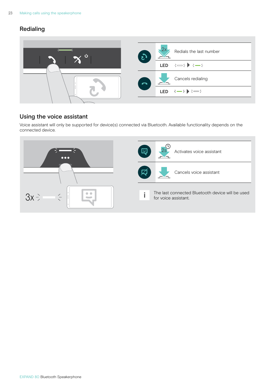# <span id="page-23-0"></span>Redialing



# Using the voice assistant

Voice assistant will only be supported for device(s) connected via Bluetooth. Available functionality depends on the connected device.

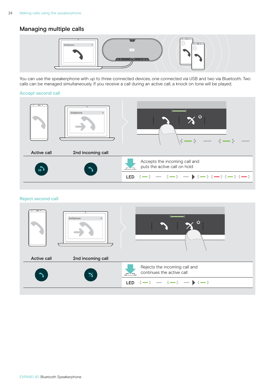# <span id="page-24-0"></span>Managing multiple calls



You can use the speakerphone with up to three connected devices, one connected via USB and two via Bluetooth. Two calls can be managed simultaneously. If you receive a call during an active call, a knock on tone will be played.

#### Accept second call



#### Reject second call

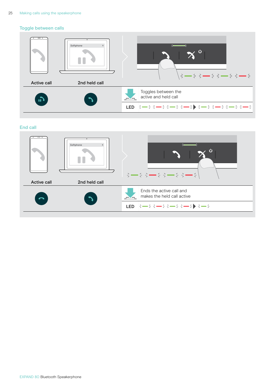#### Toggle between calls



#### End call

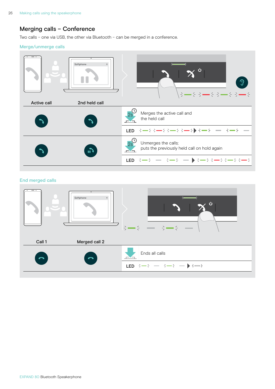# <span id="page-26-0"></span>Merging calls – Conference

Two calls – one via USB, the other via Bluetooth – can be merged in a conference.

#### Merge/unmerge calls



#### End merged calls

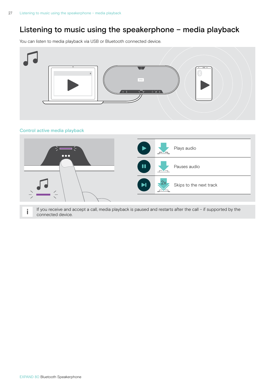# <span id="page-27-0"></span>Listening to music using the speakerphone – media playback

You can listen to media playback via USB or Bluetooth connected device.



#### Control active media playback



if you receive and accept a call, media playback is paused and restarts after the call – if supported by the connected device.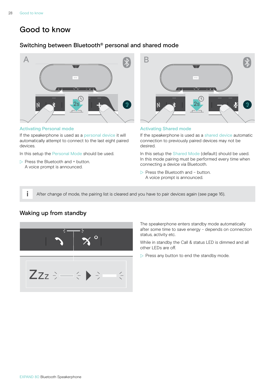# <span id="page-28-0"></span>Good to know

# <span id="page-28-1"></span>Switching between Bluetooth® personal and shared mode



#### Activating Personal mode

If the speakerphone is used as a personal device it will automatically attempt to connect to the last eight paired devices.

In this setup the Personal Mode should be used.

 $\triangleright$  Press the Bluetooth and + button. A voice prompt is announced.



#### Activating Shared mode

If the speakerphone is used as a shared device automatic connection to previously paired devices may not be desired.

In this setup the Shared Mode (default) should be used. In this mode pairing must be performed every time when connecting a device via Bluetooth.

 $\triangleright$  Press the Bluetooth and – button. A voice prompt is announced.

After change of mode, the pairing list is cleared and you have to pair devices again (see page [16\)](#page-16-1).

# <span id="page-28-2"></span>Waking up from standby



The speakerphone enters standby mode automatically after some time to save energy – depends on connection status, activity etc.

While in standby the Call & status LED is dimmed and all other LEDs are off.

 $\triangleright$  Press any button to end the standby mode.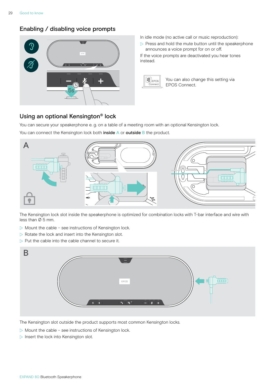#### <span id="page-29-0"></span>Enabling / disabling voice prompts



- In idle mode (no active call or music reproduction):
- $\triangleright$  Press and hold the mute button until the speakerphone announces a voice prompt for on or off.

If the voice prompts are deactivated you hear tones instead.



You can also change this setting via EPOS Connect.

## Using an optional Kensington® lock

You can secure your speakerphone e. g. on a table of a meeting room with an optional Kensington lock.

You can connect the Kensington lock both inside A or outside B the product.



The Kensington lock slot inside the speakerphone is optimized for combination locks with T-bar interface and wire with less than  $\emptyset$  5 mm.

- $\triangleright$  Mount the cable see instructions of Kensington lock.
- $\triangleright$  Rotate the lock and insert into the Kensington slot.
- $\triangleright$  Put the cable into the cable channel to secure it.



The Kensington slot outside the product supports most common Kensington locks.

- $\triangleright$  Mount the cable see instructions of Kensington lock.
- $\triangleright$  Insert the lock into Kensington slot.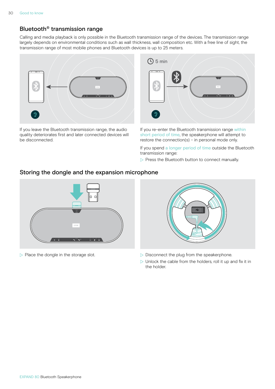# <span id="page-30-1"></span><span id="page-30-0"></span>Bluetooth® transmission range

Calling and media playback is only possible in the Bluetooth transmission range of the devices. The transmission range largely depends on environmental conditions such as wall thickness, wall composition etc. With a free line of sight, the transmission range of most mobile phones and Bluetooth devices is up to 25 meters.



If you leave the Bluetooth transmission range, the audio quality deteriorates first and later connected devices will be disconnected.



If you re-enter the Bluetooth transmission range within short period of time, the speakerphone will attempt to restore the connection(s) – in personal mode only.

If you spend a longer period of time outside the Bluetooth transmission range:

 $\triangleright$  Press the Bluetooth button to connect manually.

#### Storing the dongle and the expansion microphone





- $\triangleright$  Place the dongle in the storage slot.  $\triangleright$  Disconnect the plug from the speakerphone.
	- $\triangleright$  Unlock the cable from the holders, roll it up and fix it in the holder.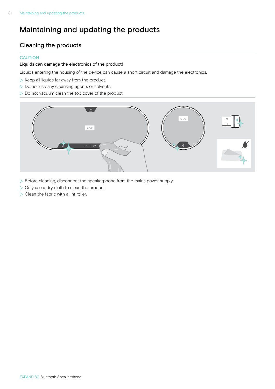# <span id="page-31-1"></span><span id="page-31-0"></span>Maintaining and updating the products

# Cleaning the products

#### **CAUTION**

#### Liquids can damage the electronics of the product!

Liquids entering the housing of the device can cause a short circuit and damage the electronics.

- $\triangleright$  Keep all liquids far away from the product.
- $\triangleright$  Do not use any cleansing agents or solvents.
- $\triangleright$  Do not vacuum clean the top cover of the product.



- $\triangleright$  Before cleaning, disconnect the speakerphone from the mains power supply.
- $\triangleright$  Only use a dry cloth to clean the product.
- $\triangleright$  Clean the fabric with a lint roller.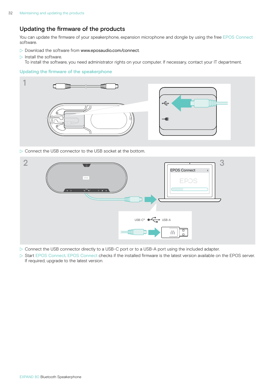# <span id="page-32-0"></span>Updating the firmware of the products

You can update the firmware of your speakerphone, expansion microphone and dongle by using the free EPOS Connect software.

- $\triangleright$  Download the software from www.eposaudio.com/connect.
- $\triangleright$  Install the software. To install the software, you need administrator rights on your computer. If necessary, contact your IT department.

#### Updating the firmware of the speakerphone



 $\triangleright$  Connect the USB connector to the USB socket at the bottom.



- ▶ Connect the USB connector directly to a USB-C port or to a USB-A port using the included adapter.
- $\triangleright$  Start EPOS Connect. EPOS Connect checks if the installed firmware is the latest version available on the EPOS server. If required, upgrade to the latest version.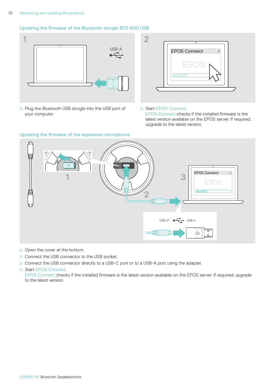#### Updating the firmware of the Bluetooth dongle BTD 800 USB



 $\triangleright$  Plug the Bluetooth USB dongle into the USB port of your computer.



#### ▶ Start EPOS Connect.

EPOS Connect checks if the installed firmware is the latest version available on the EPOS server. If required, upgrade to the latest version.



 $\triangleright$  Open the cover at the bottom.

 $\triangleright$  Connect the USB connector to the USB socket.

 $\triangleright$  Connect the USB connector directly to a USB-C port or to a USB-A port using the adapter.

#### ▶ Start EPOS Connect.

EPOS Connect checks if the installed firmware is the latest version available on the EPOS server. If required, upgrade to the latest version.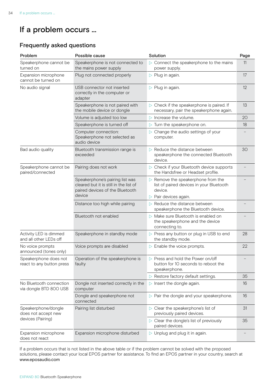# <span id="page-34-0"></span>If a problem occurs ...

# Frequently asked questions

| Problem                                            | Possible cause                                                                                                         | Solution                                                                                                 | Page |
|----------------------------------------------------|------------------------------------------------------------------------------------------------------------------------|----------------------------------------------------------------------------------------------------------|------|
| Speakerphone cannot be<br>turned on                | Speakerphone is not connected to<br>the mains power supply                                                             | $\triangleright$ Connect the speakerphone to the mains<br>power supply.                                  | 11   |
| Expansion microphone<br>cannot be turned on        | Plug not connected properly                                                                                            | $\triangleright$ Plug in again.                                                                          | 17   |
| No audio signal                                    | USB connector not inserted<br>correctly in the computer or<br>adapter                                                  | $\triangleright$ Plug in again.                                                                          | 12   |
|                                                    | Speakerphone is not paired with<br>the mobile device or dongle                                                         | $\triangleright$ Check if the speakerphone is paired. If<br>necessary, pair the speakerphone again.      | 13   |
|                                                    | Volume is adjusted too low                                                                                             | $\triangleright$ Increase the volume.                                                                    | 20   |
|                                                    | Speakerphone is turned off                                                                                             | $\triangleright$ Turn the speakerphone on.                                                               | 18   |
|                                                    | Computer connection:<br>Speakerphone not selected as<br>audio device                                                   | $\triangleright$ Change the audio settings of your<br>computer.                                          |      |
| Bad audio quality                                  | Bluetooth transmission range is<br>exceeded                                                                            | $\triangleright$ Reduce the distance between<br>speakerphone the connected Bluetooth<br>device.          | 30   |
| Speakerphone cannot be<br>paired/connected         | Pairing does not work                                                                                                  | $\triangleright$ Check if your Bluetooth device supports<br>the Handsfree or Headset profile.            |      |
|                                                    | Speakerphone's pairing list was<br>cleared but it is still in the list of<br>paired devices of the Bluetooth<br>device | $\triangleright$ Remove the speakerphone from the<br>list of paired devices in your Bluetooth<br>device. |      |
|                                                    |                                                                                                                        | $\triangleright$ Pair devices again.                                                                     |      |
|                                                    | Distance too high while pairing                                                                                        | $\triangleright$ Reduce the distance between<br>speakerphone the Bluetooth device.                       |      |
|                                                    | Bluetooth not enabled                                                                                                  | $\triangleright$ Make sure Bluetooth is enabled on<br>the speakerphone and the device<br>connecting to.  |      |
| Activity LED is dimmed<br>and all other LEDs off   | Speakerphone in standby mode                                                                                           | > Press any button or plug in USB to end<br>the standby mode.                                            | 28   |
| No voice prompts<br>announced (tones only)         | Voice prompts are disabled                                                                                             | $\triangleright$ Enable the voice prompts.                                                               | 22   |
| Speakerphone does not<br>react to any button press | Operation of the speakerphone is<br>faulty                                                                             | $\triangleright$ Press and hold the Power on/off<br>button for 10 seconds to reboot the<br>speakerphone. |      |
|                                                    |                                                                                                                        | $\triangleright$ Restore factory default settings.                                                       | 35   |
| No Bluetooth connection<br>via dongle BTD 800 USB  | Dongle not inserted correctly in the<br>computer                                                                       | $\triangleright$ Insert the dongle again.                                                                | 16   |
|                                                    | Dongle and speakerphone not<br>connected                                                                               | $\triangleright$ Pair the dongle and your speakerphone.                                                  | 16   |
| Speakerphone/dongle<br>does not accept new         | Pairing list disturbed                                                                                                 | $\triangleright$ Clear the speakerphone's list of<br>previously paired devices.                          | 31   |
| devices (Pairing)                                  |                                                                                                                        | $\triangleright$ Clear the dongle's list of previously<br>paired devices.                                | 35   |
| Expansion microphone<br>does not react             | Expansion microphone disturbed                                                                                         | $\triangleright$ Unplug and plug it in again.                                                            |      |

If a problem occurs that is not listed in the above table or if the problem cannot be solved with the proposed solutions, please contact your local EPOS partner for assistance. To find an EPOS partner in your country, search at www.eposaudio.com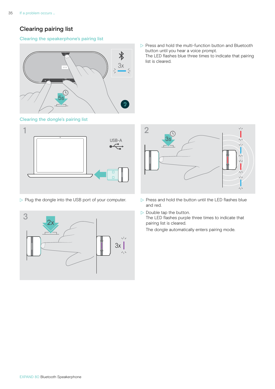# <span id="page-35-0"></span>Clearing pairing list

#### Clearing the speakerphone's pairing list



<span id="page-35-2"></span>



 $\triangleright$  Plug the dongle into the USB port of your computer.  $\triangleright$  Press and hold the button until the LED flashes blue



 $\triangleright$  Press and hold the multi-function button and Bluetooth button until you hear a voice prompt. The LED flashes blue three times to indicate that pairing list is cleared.

<span id="page-35-1"></span>

- and red.
- $\triangleright$  Double tap the button. The LED flashes purple three times to indicate that pairing list is cleared. The dongle automatically enters pairing mode.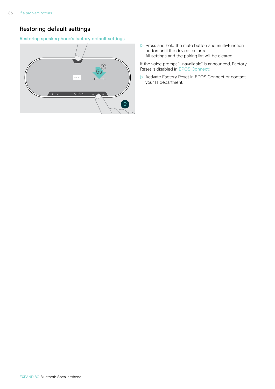# <span id="page-36-0"></span>Restoring default settings

#### Restoring speakerphone's factory default settings



 $\triangleright$  Press and hold the mute button and multi-function button until the device restarts. All settings and the pairing list will be cleared.

If the voice prompt "Unavailable" is announced, Factory Reset is disabled in EPOS Connect:

 $\triangleright$  Activate Factory Reset in EPOS Connect or contact your IT department.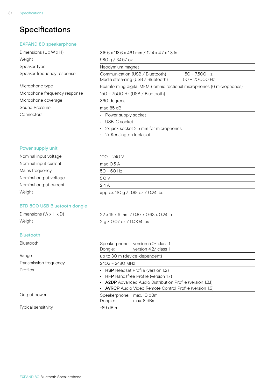# <span id="page-37-0"></span>Specifications

#### EXPAND 80 speakerphone

Dimensions (L x W x H) Weight Speaker type Speaker frequency response

#### Microphone type

Microphone frequency response Microphone coverage Sound Pressure Connectors

| 315.6 x 118.6 x 46.1 mm / 12.4 x 4.7 x 1.8 in                        |                                    |
|----------------------------------------------------------------------|------------------------------------|
| 980 g / 34.57 oz                                                     |                                    |
| Neodymium magnet                                                     |                                    |
| Communication (USB / Bluetooth)<br>Media streaming (USB / Bluetooth) | 150 - 7,500 Hz<br>$50 - 20,000$ Hz |
| Beamforming digital MEMS omnidirectional microphones (6 microphones) |                                    |
| 150 - 7,500 Hz (USB / Bluetooth)                                     |                                    |
| 360 degrees                                                          |                                    |
| max. 85 dB                                                           |                                    |
| Power supply socket<br>$\bullet$                                     |                                    |
| USB-C socket<br>$\bullet$                                            |                                    |
| 2x jack socket 2.5 mm for microphones<br>$\bullet$                   |                                    |
| 2x Kensington lock slot<br>$\bullet$                                 |                                    |
|                                                                      |                                    |

#### Power supply unit

| Nominal input voltage  | $100 - 240 V$                      |
|------------------------|------------------------------------|
| Nominal input current  | max. 0.5 A                         |
| Mains frequency        | $50 - 60$ Hz                       |
| Nominal output voltage | 5.O V                              |
| Nominal output current | 2.4A                               |
| Weight                 | approx. 110 g / 3.88 oz / 0.24 lbs |
|                        |                                    |

#### BTD 800 USB Bluetooth dongle

#### Bluetooth

Typical sensitivity

| Dimensions (W x H x D) | 22 x 16 x 6 mm / 0.87 x 0.63 x 0.24 in |
|------------------------|----------------------------------------|
| Weight                 | 2 g / 0.07 oz / 0.004 lbs              |

| <b>Bluetooth</b>       | Speakerphone: version 5.0/ class 1<br>version 4.2/ class 1<br>Dongle:                                                                                                                                                      |  |  |
|------------------------|----------------------------------------------------------------------------------------------------------------------------------------------------------------------------------------------------------------------------|--|--|
| Range                  | up to 30 m (device-dependent)                                                                                                                                                                                              |  |  |
| Transmission frequency | 2402 - 2480 MHz                                                                                                                                                                                                            |  |  |
| Profiles               | $\cdot$ HSP Headset Profile (version 1.2)<br>• HFP Handsfree Profile (version 1.7)<br>• <b>A2DP</b> Advanced Audio Distribution Profile (version 1.3.1)<br>• <b>AVRCP</b> Audio Video Remote Control Profile (version 1.6) |  |  |
| Output power           | Speakerphone: max. 10 dBm<br>max. 8 dBm<br>Dongle:                                                                                                                                                                         |  |  |
| Typical sensitivity    | $-89$ dBm                                                                                                                                                                                                                  |  |  |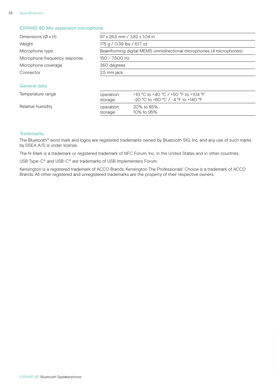#### EXPAND 80 Mic expansion microphone

| Dimensions ( $\varnothing$ x H) | 97 x 26.5 mm / 3.82 x 1.04 in                                        |                                                                               |  |
|---------------------------------|----------------------------------------------------------------------|-------------------------------------------------------------------------------|--|
| Weight                          | 175 g / 0.39 lbs / 6.17 oz                                           |                                                                               |  |
| Microphone type                 | Beamforming digital MEMS omnidirectional microphones (4 microphones) |                                                                               |  |
| Microphone frequency response   | 150 - 7,500 Hz                                                       |                                                                               |  |
| Microphone coverage             | 360 degrees                                                          |                                                                               |  |
| Connector                       | 2.5 mm jack                                                          |                                                                               |  |
| General data                    |                                                                      |                                                                               |  |
| Temperature range               | operation:<br>storage:                                               | +10 °C to +40 °C / +50 °F to +104 °F<br>$-20$ °C to +60 °C / -4 °F to +140 °F |  |

#### Relative humidity **Relation:** 20% to 85%

#### **Trademarks**

The Bluetooth® word mark and logos are registered trademarks owned by Bluetooth SIG, Inc. and any use of such marks by DSEA A/S is under license.

The N-Mark is a trademark or registered trademark of NFC Forum, Inc. in the United States and in other countries.

storage: 10% to 95%

USB Type-C® and USB-C® are trademarks of USB Implementers Forum.

Kensington is a registered trademark of ACCO Brands. Kensington The Professionals' Choice is a trademark of ACCO Brands. All other registered and unregistered trademarks are the property of their respective owners.